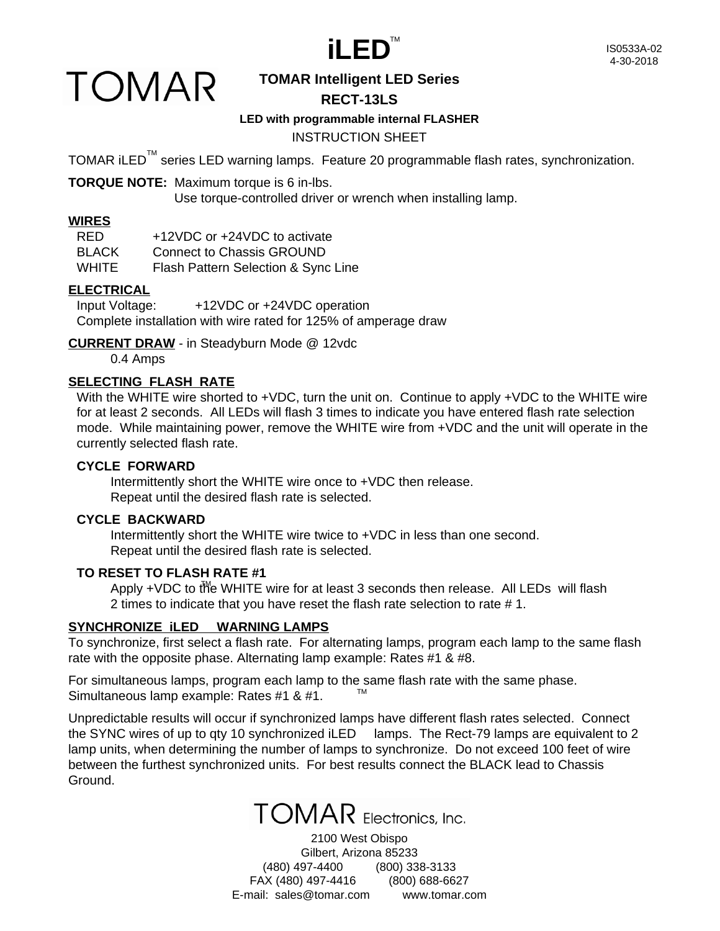

## **TOMAR**

#### **TOMAR Intelligent LED Series RECT-13LS**

#### **LED with programmable internal FLASHER**

#### INSTRUCTION SHEET

TOMAR iLED<sup>™</sup> series LED warning lamps. Feature 20 programmable flash rates, synchronization.

**TORQUE NOTE:** Maximum torque is 6 in-lbs.

Use torque-controlled driver or wrench when installing lamp.

#### **WIRES**

| RED.         | +12VDC or +24VDC to activate        |
|--------------|-------------------------------------|
| <b>BLACK</b> | <b>Connect to Chassis GROUND</b>    |
| <b>WHITE</b> | Flash Pattern Selection & Sync Line |

#### **ELECTRICAL**

Input Voltage: +12VDC or +24VDC operation Complete installation with wire rated for 125% of amperage draw

**CURRENT DRAW** - in Steadyburn Mode @ 12vdc

0.4 Amps

#### **SELECTING FLASH RATE**

With the WHITE wire shorted to +VDC, turn the unit on. Continue to apply +VDC to the WHITE wire for at least 2 seconds. All LEDs will flash 3 times to indicate you have entered flash rate selection mode. While maintaining power, remove the WHITE wire from +VDC and the unit will operate in the currently selected flash rate.

#### **CYCLE FORWARD**

Intermittently short the WHITE wire once to +VDC then release. Repeat until the desired flash rate is selected.

#### **CYCLE BACKWARD**

Intermittently short the WHITE wire twice to +VDC in less than one second. Repeat until the desired flash rate is selected.

#### **TO RESET TO FLASH RATE #1**

Apply +VDC to the WHITE wire for at least 3 seconds then release. All LEDs will flash 2 times to indicate that you have reset the flash rate selection to rate # 1.

#### **SYNCHRONIZE iLED WARNING LAMPS**

To synchronize, first select a flash rate. For alternating lamps, program each lamp to the same flash rate with the opposite phase. Alternating lamp example: Rates #1 & #8.

For simultaneous lamps, program each lamp to the same flash rate with the same phase. Simultaneous lamp example: Rates #1 & #1. TM

Unpredictable results will occur if synchronized lamps have different flash rates selected. Connect the SYNC wires of up to qty 10 synchronized iLED lamps. The Rect-79 lamps are equivalent to 2 lamp units, when determining the number of lamps to synchronize. Do not exceed 100 feet of wire between the furthest synchronized units. For best results connect the BLACK lead to Chassis Ground.



2100 West Obispo Gilbert, Arizona 85233 (480) 497-4400 (800) 338-3133 FAX (480) 497-4416 (800) 688-6627 E-mail: sales@tomar.com www.tomar.com